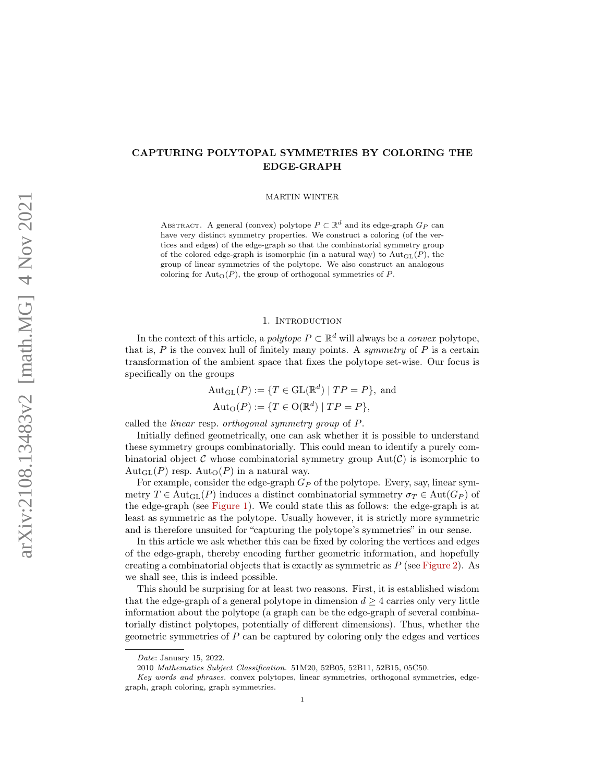# CAPTURING POLYTOPAL SYMMETRIES BY COLORING THE EDGE-GRAPH

MARTIN WINTER

ABSTRACT. A general (convex) polytope  $P \subset \mathbb{R}^d$  and its edge-graph  $G_P$  can have very distinct symmetry properties. We construct a coloring (of the vertices and edges) of the edge-graph so that the combinatorial symmetry group of the colored edge-graph is isomorphic (in a natural way) to  $Aut_{GL}(P)$ , the group of linear symmetries of the polytope. We also construct an analogous coloring for  $\text{Aut}_{\Omega}(P)$ , the group of orthogonal symmetries of P.

### 1. INTRODUCTION

In the context of this article, a *polytope*  $P \subset \mathbb{R}^d$  will always be a *convex* polytope, that is,  $P$  is the convex hull of finitely many points. A symmetry of  $P$  is a certain transformation of the ambient space that fixes the polytope set-wise. Our focus is specifically on the groups

$$
Aut_{GL}(P) := \{ T \in GL(\mathbb{R}^d) \mid TP = P \}, \text{ and}
$$

$$
Aut_{O}(P) := \{ T \in O(\mathbb{R}^d) \mid TP = P \},
$$

called the linear resp. orthogonal symmetry group of P.

Initially defined geometrically, one can ask whether it is possible to understand these symmetry groups combinatorially. This could mean to identify a purely combinatorial object C whose combinatorial symmetry group  $Aut(C)$  is isomorphic to  $Aut_{GL}(P)$  resp.  $Aut_{O}(P)$  in a natural way.

For example, consider the edge-graph  $G_P$  of the polytope. Every, say, linear symmetry  $T \in \text{Aut}_{GL}(P)$  induces a distinct combinatorial symmetry  $\sigma_T \in \text{Aut}(G_P)$  of the edge-graph (see [Figure 1\)](#page-1-0). We could state this as follows: the edge-graph is at least as symmetric as the polytope. Usually however, it is strictly more symmetric and is therefore unsuited for "capturing the polytope's symmetries" in our sense.

In this article we ask whether this can be fixed by coloring the vertices and edges of the edge-graph, thereby encoding further geometric information, and hopefully creating a combinatorial objects that is exactly as symmetric as  $P$  (see [Figure 2\)](#page-1-1). As we shall see, this is indeed possible.

This should be surprising for at least two reasons. First, it is established wisdom that the edge-graph of a general polytope in dimension  $d \geq 4$  carries only very little information about the polytope (a graph can be the edge-graph of several combinatorially distinct polytopes, potentially of different dimensions). Thus, whether the geometric symmetries of P can be captured by coloring only the edges and vertices

Date: January 15, 2022.

<sup>2010</sup> Mathematics Subject Classification. 51M20, 52B05, 52B11, 52B15, 05C50.

Key words and phrases. convex polytopes, linear symmetries, orthogonal symmetries, edgegraph, graph coloring, graph symmetries.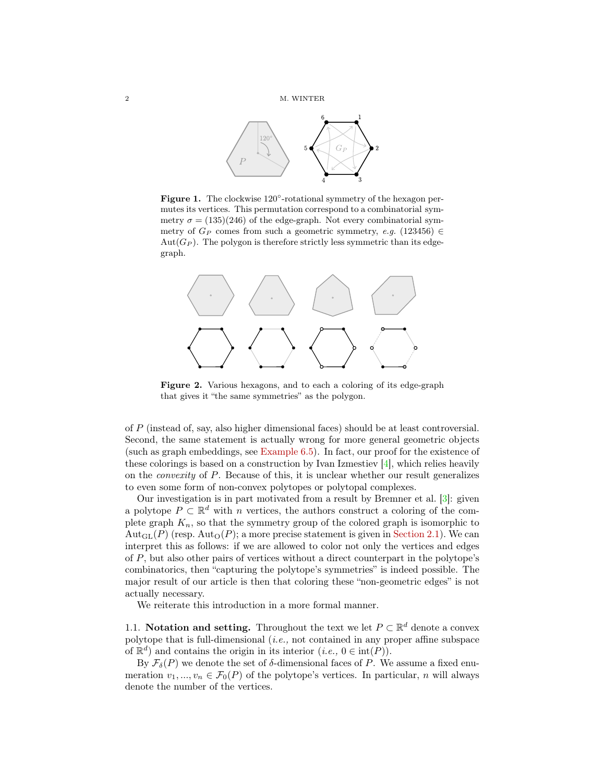

<span id="page-1-0"></span>Figure 1. The clockwise 120°-rotational symmetry of the hexagon permutes its vertices. This permutation correspond to a combinatorial symmetry  $\sigma = (135)(246)$  of the edge-graph. Not every combinatorial symmetry of  $G_P$  comes from such a geometric symmetry, e.g. (123456) ∈  $Aut(G_P)$ . The polygon is therefore strictly less symmetric than its edgegraph.

<span id="page-1-1"></span>

Figure 2. Various hexagons, and to each a coloring of its edge-graph that gives it "the same symmetries" as the polygon.

of P (instead of, say, also higher dimensional faces) should be at least controversial. Second, the same statement is actually wrong for more general geometric objects (such as graph embeddings, see [Example 6.5\)](#page-13-0). In fact, our proof for the existence of these colorings is based on a construction by Ivan Izmestiev [\[4\]](#page-14-0), which relies heavily on the convexity of P. Because of this, it is unclear whether our result generalizes to even some form of non-convex polytopes or polytopal complexes.

Our investigation is in part motivated from a result by Bremner et al. [\[3\]](#page-14-1): given a polytope  $P \subset \mathbb{R}^d$  with n vertices, the authors construct a coloring of the complete graph  $K_n$ , so that the symmetry group of the colored graph is isomorphic to  $\text{Aut}_{GL}(P)$  (resp.  $\text{Aut}_{O}(P)$ ; a more precise statement is given in [Section 2.1\)](#page-4-0). We can interpret this as follows: if we are allowed to color not only the vertices and edges of P, but also other pairs of vertices without a direct counterpart in the polytope's combinatorics, then "capturing the polytope's symmetries" is indeed possible. The major result of our article is then that coloring these "non-geometric edges" is not actually necessary.

We reiterate this introduction in a more formal manner.

1.1. Notation and setting. Throughout the text we let  $P \subset \mathbb{R}^d$  denote a convex polytope that is full-dimensional  $(i.e., not contained in any proper affine subspace$ of  $\mathbb{R}^d$  and contains the origin in its interior  $(i.e., 0 \in \text{int}(P)).$ 

By  $\mathcal{F}_{\delta}(P)$  we denote the set of  $\delta$ -dimensional faces of P. We assume a fixed enumeration  $v_1, ..., v_n \in \mathcal{F}_0(P)$  of the polytope's vertices. In particular, n will always denote the number of the vertices.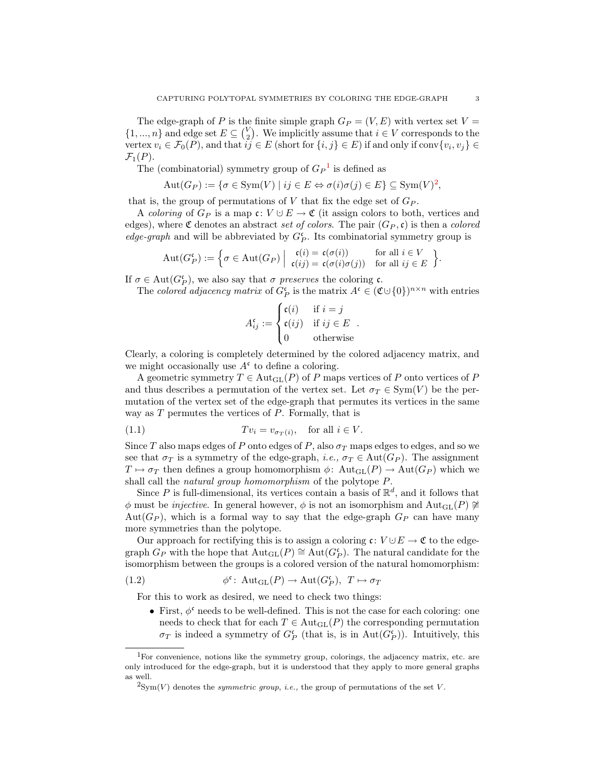The edge-graph of P is the finite simple graph  $G_P = (V, E)$  with vertex set  $V =$  $\{1, ..., n\}$  and edge set  $E \subseteq {V \choose 2}$ . We implicitly assume that  $i \in V$  corresponds to the vertex  $v_i \in \mathcal{F}_0(P)$ , and that  $ij \in E$  (short for  $\{i, j\} \in E$ ) if and only if conv $\{v_i, v_j\} \in E$  $\mathcal{F}_1(P)$ .

The (combinatorial) symmetry group of  $G_P^{-1}$  $G_P^{-1}$  $G_P^{-1}$  is defined as

$$
Aut(G_P) := \{ \sigma \in \text{Sym}(V) \mid ij \in E \Leftrightarrow \sigma(i)\sigma(j) \in E \} \subseteq \text{Sym}(V)^2,
$$

that is, the group of permutations of  $V$  that fix the edge set of  $G_P$ .

A coloring of  $G_P$  is a map  $\mathfrak{c}: V \cup E \to \mathfrak{C}$  (it assign colors to both, vertices and edges), where  $\mathfrak C$  denotes an abstract set of colors. The pair  $(G_P, c)$  is then a colored edge-graph and will be abbreviated by  $G_P^{\mathfrak{c}}$ . Its combinatorial symmetry group is

$$
Aut(G_P^{\mathfrak{c}}) := \left\{ \sigma \in Aut(G_P) \mid \begin{array}{l} \mathfrak{c}(i) = \mathfrak{c}(\sigma(i)) & \text{for all } i \in V \\ \mathfrak{c}(ij) = \mathfrak{c}(\sigma(i)\sigma(j)) & \text{for all } ij \in E \end{array} \right\}.
$$

If  $\sigma \in \text{Aut}(G_P^{\mathfrak{c}})$ , we also say that  $\sigma$  preserves the coloring  $\mathfrak{c}$ .

The colored adjacency matrix of  $G_P^{\mathfrak{c}}$  is the matrix  $A^{\mathfrak{c}} \in (\mathfrak{C} \cup \{0\})^{n \times n}$  with entries

$$
A_{ij}^{\mathfrak{c}} := \begin{cases} \mathfrak{c}(i) & \text{if } i = j \\ \mathfrak{c}(ij) & \text{if } ij \in E \\ 0 & \text{otherwise} \end{cases}.
$$

Clearly, a coloring is completely determined by the colored adjacency matrix, and we might occasionally use  $A^{\mathfrak{c}}$  to define a coloring.

A geometric symmetry  $T \in \text{Aut}_{GL}(P)$  of P maps vertices of P onto vertices of P and thus describes a permutation of the vertex set. Let  $\sigma_T \in \text{Sym}(V)$  be the permutation of the vertex set of the edge-graph that permutes its vertices in the same way as  $T$  permutes the vertices of  $P$ . Formally, that is

(1.1) 
$$
Tv_i = v_{\sigma_T(i)}, \text{ for all } i \in V.
$$

Since T also maps edges of P onto edges of P, also  $\sigma_T$  maps edges to edges, and so we see that  $\sigma_T$  is a symmetry of the edge-graph, *i.e.*,  $\sigma_T \in \text{Aut}(G_P)$ . The assignment  $T \mapsto \sigma_T$  then defines a group homomorphism  $\phi: \text{Aut}_{GL}(P) \to \text{Aut}(G_P)$  which we shall call the *natural group homomorphism* of the polytope  $P$ .

Since P is full-dimensional, its vertices contain a basis of  $\mathbb{R}^d$ , and it follows that φ must be *injective*. In general however, φ is not an isomorphism and  $Aut_{GL}(P) \ncong$ Aut( $G_P$ ), which is a formal way to say that the edge-graph  $G_P$  can have many more symmetries than the polytope.

Our approach for rectifying this is to assign a coloring  $\mathfrak{c}: V \cup E \to \mathfrak{C}$  to the edgegraph  $G_P$  with the hope that  $\text{Aut}_{\text{GL}}(P) \cong \text{Aut}(G_P^{\mathfrak{c}})$ . The natural candidate for the isomorphism between the groups is a colored version of the natural homomorphism:

(1.2) 
$$
\phi^{\mathfrak{c}}\colon \operatorname{Aut}_{\operatorname{GL}}(P)\to \operatorname{Aut}(G_P^{\mathfrak{c}}),\ T\mapsto \sigma_T
$$

For this to work as desired, we need to check two things:

• First,  $\phi^c$  needs to be well-defined. This is not the case for each coloring: one needs to check that for each  $T \in \text{Aut}_{GL}(P)$  the corresponding permutation  $\sigma_T$  is indeed a symmetry of  $G_P^{\mathfrak{c}}$  (that is, is in  $\mathrm{Aut}(G_P^{\mathfrak{c}})$ ). Intuitively, this

<span id="page-2-0"></span><sup>&</sup>lt;sup>1</sup>For convenience, notions like the symmetry group, colorings, the adjacency matrix, etc. are only introduced for the edge-graph, but it is understood that they apply to more general graphs as well.

<span id="page-2-1"></span> $^{2}$ Sym(V) denotes the *symmetric group*, *i.e.*, the group of permutations of the set V.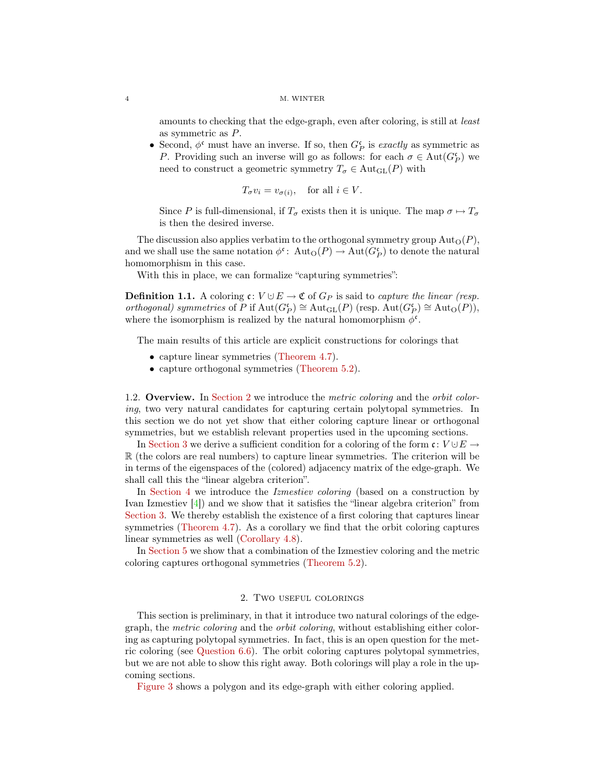amounts to checking that the edge-graph, even after coloring, is still at least as symmetric as P.

• Second,  $\phi^{\mathfrak{c}}$  must have an inverse. If so, then  $G_P^{\mathfrak{c}}$  is *exactly* as symmetric as P. Providing such an inverse will go as follows: for each  $\sigma \in \text{Aut}(G_P^{\mathfrak{c}})$  we need to construct a geometric symmetry  $T_{\sigma} \in \text{Aut}_{\text{GL}}(P)$  with

$$
T_{\sigma}v_i = v_{\sigma(i)},
$$
 for all  $i \in V$ .

Since P is full-dimensional, if  $T_{\sigma}$  exists then it is unique. The map  $\sigma \mapsto T_{\sigma}$ is then the desired inverse.

The discussion also applies verbatim to the orthogonal symmetry group  $\text{Aut}_{O}(P)$ , and we shall use the same notation  $\phi^{\mathfrak{e}}$ :  $\mathrm{Aut}_{\mathcal{O}}(P) \to \mathrm{Aut}(G_P^{\mathfrak{e}})$  to denote the natural homomorphism in this case.

With this in place, we can formalize "capturing symmetries":

**Definition 1.1.** A coloring  $c: V \cup E \to \mathfrak{C}$  of  $G_P$  is said to *capture the linear (resp.* orthogonal) symmetries of P if  $\text{Aut}(G_P^{\mathfrak{c}}) \cong \text{Aut}_{\text{GL}}(P)$  (resp.  $\text{Aut}(G_P^{\mathfrak{c}}) \cong \text{Aut}_{\mathcal{O}}(P)$ ), where the isomorphism is realized by the natural homomorphism  $\phi^{\mathfrak{c}}$ .

The main results of this article are explicit constructions for colorings that

- capture linear symmetries [\(Theorem 4.7\)](#page-10-0).
- capture orthogonal symmetries [\(Theorem 5.2\)](#page-11-0).

1.2. Overview. In [Section 2](#page-3-0) we introduce the metric coloring and the orbit coloring, two very natural candidates for capturing certain polytopal symmetries. In this section we do not yet show that either coloring capture linear or orthogonal symmetries, but we establish relevant properties used in the upcoming sections.

In [Section 3](#page-6-0) we derive a sufficient condition for a coloring of the form  $\mathfrak{c}: V \cup E \rightarrow$ R (the colors are real numbers) to capture linear symmetries. The criterion will be in terms of the eigenspaces of the (colored) adjacency matrix of the edge-graph. We shall call this the "linear algebra criterion".

In [Section 4](#page-8-0) we introduce the *Izmestiev coloring* (based on a construction by Ivan Izmestiev [\[4\]](#page-14-0)) and we show that it satisfies the "linear algebra criterion" from [Section 3.](#page-6-0) We thereby establish the existence of a first coloring that captures linear symmetries [\(Theorem 4.7\)](#page-10-0). As a corollary we find that the orbit coloring captures linear symmetries as well [\(Corollary 4.8\)](#page-10-1).

In [Section 5](#page-10-2) we show that a combination of the Izmestiev coloring and the metric coloring captures orthogonal symmetries [\(Theorem 5.2\)](#page-11-0).

# 2. Two useful colorings

<span id="page-3-0"></span>This section is preliminary, in that it introduce two natural colorings of the edgegraph, the metric coloring and the orbit coloring, without establishing either coloring as capturing polytopal symmetries. In fact, this is an open question for the metric coloring (see [Question 6.6\)](#page-13-1). The orbit coloring captures polytopal symmetries, but we are not able to show this right away. Both colorings will play a role in the upcoming sections.

[Figure 3](#page-4-1) shows a polygon and its edge-graph with either coloring applied.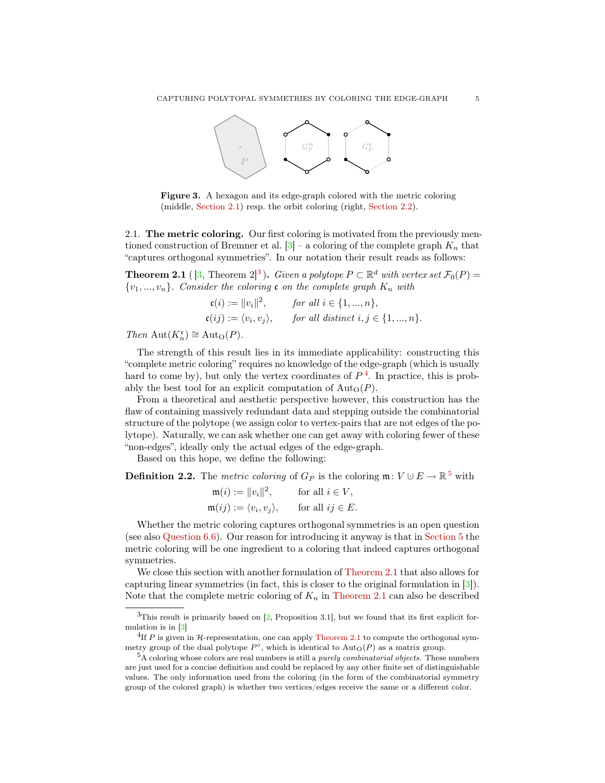<span id="page-4-1"></span>

Figure 3. A hexagon and its edge-graph colored with the metric coloring (middle, [Section 2.1\)](#page-4-0) resp. the orbit coloring (right, [Section 2.2\)](#page-5-0).

<span id="page-4-0"></span>2.1. The metric coloring. Our first coloring is motivated from the previously mentioned construction of Bremner et al.  $[3]$  – a coloring of the complete graph  $K_n$  that "captures orthogonal symmetries". In our notation their result reads as follows:

<span id="page-4-5"></span>**Theorem 2.1** ([\[3,](#page-14-1) Theorem 2]<sup>[3](#page-4-2)</sup>). Given a polytope  $P \subset \mathbb{R}^d$  with vertex set  $\mathcal{F}_0(P) =$  $\{v_1, ..., v_n\}$ . Consider the coloring c on the complete graph  $K_n$  with

$$
\begin{aligned}\n\mathfrak{c}(i) &:= \|v_i\|^2, & \text{for all } i \in \{1, \dots, n\}, \\
\mathfrak{c}(ij) &:= \langle v_i, v_j \rangle, & \text{for all distinct } i, j \in \{1, \dots, n\}.\n\end{aligned}
$$

Then  $\text{Aut}(K_n^{\mathfrak{c}}) \cong \text{Aut}_{\mathcal{O}}(P)$ .

The strength of this result lies in its immediate applicability: constructing this "complete metric coloring" requires no knowledge of the edge-graph (which is usually hard to come by), but only the vertex coordinates of  $P<sup>4</sup>$  $P<sup>4</sup>$  $P<sup>4</sup>$ . In practice, this is probably the best tool for an explicit computation of  $\text{Aut}_{\Omega}(P)$ .

From a theoretical and aesthetic perspective however, this construction has the flaw of containing massively redundant data and stepping outside the combinatorial structure of the polytope (we assign color to vertex-pairs that are not edges of the polytope). Naturally, we can ask whether one can get away with coloring fewer of these "non-edges", ideally only the actual edges of the edge-graph.

Based on this hope, we define the following:

<span id="page-4-6"></span>**Definition 2.2.** The *metric coloring* of  $G_P$  is the coloring  $\mathfrak{m}: V \cup E \to \mathbb{R}^5$  $\mathfrak{m}: V \cup E \to \mathbb{R}^5$  with

| $\mathfrak{m}(i) :=   v_i  ^2,$                 | for all $i \in V$ ,  |
|-------------------------------------------------|----------------------|
| $\mathfrak{m}(ij) := \langle v_i, v_j \rangle,$ | for all $ij \in E$ . |

Whether the metric coloring captures orthogonal symmetries is an open question (see also [Question 6.6\)](#page-13-1). Our reason for introducing it anyway is that in [Section 5](#page-10-2) the metric coloring will be one ingredient to a coloring that indeed captures orthogonal symmetries.

We close this section with another formulation of [Theorem 2.1](#page-4-5) that also allows for capturing linear symmetries (in fact, this is closer to the original formulation in [\[3\]](#page-14-1)). Note that the complete metric coloring of  $K_n$  in [Theorem 2.1](#page-4-5) can also be described

<span id="page-4-2"></span> $3$ This result is primarily based on [\[2,](#page-14-2) Proposition 3.1], but we found that its first explicit formulation is in [\[3\]](#page-14-1)

<span id="page-4-3"></span><sup>&</sup>lt;sup>4</sup>If P is given in  $H$ -representation, one can apply [Theorem 2.1](#page-4-5) to compute the orthogonal symmetry group of the dual polytope  $P^{\circ}$ , which is identical to  $\text{Aut}_{O}(P)$  as a matrix group.

<span id="page-4-4"></span> ${}^{5}A$  coloring whose colors are real numbers is still a *purely combinatorial objects*. These numbers are just used for a concise definition and could be replaced by any other finite set of distinguishable values. The only information used from the coloring (in the form of the combinatorial symmetry group of the colored graph) is whether two vertices/edges receive the same or a different color.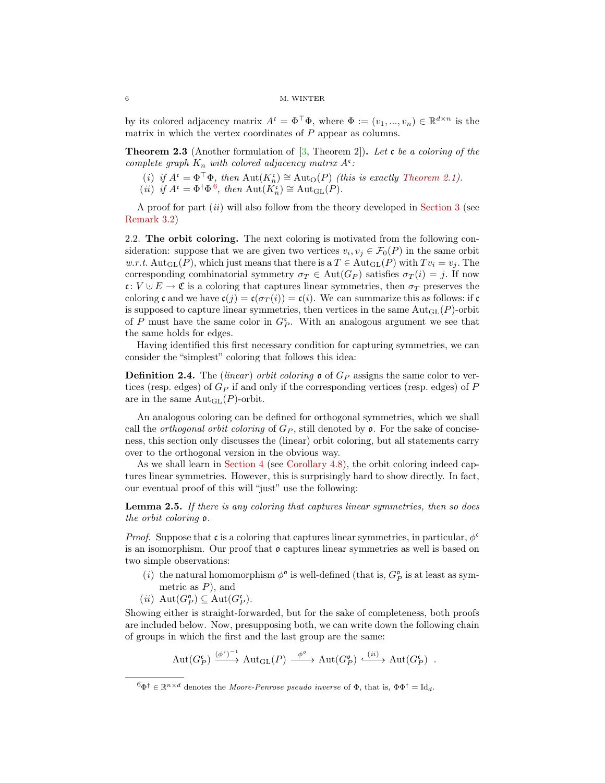### 6 M. WINTER

by its colored adjacency matrix  $A^{\mathfrak{c}} = \Phi^{\top} \Phi$ , where  $\Phi := (v_1, ..., v_n) \in \mathbb{R}^{d \times n}$  is the matrix in which the vertex coordinates of  $P$  appear as columns.

<span id="page-5-3"></span>**Theorem 2.3** (Another formulation of  $[3,$  Theorem 2]). Let c be a coloring of the complete graph  $K_n$  with colored adjacency matrix  $A^{\mathfrak{c}}$ :

- (i) if  $A^{\mathfrak{c}} = \Phi^{\top} \Phi$ , then  $\mathrm{Aut}(K_n^{\mathfrak{c}}) \cong \mathrm{Aut}_O(P)$  (this is exactly [Theorem 2.1\)](#page-4-5).
- (*ii*) *if*  $A^c = \Phi^{\dagger} \Phi^{\hat{6}}$  $A^c = \Phi^{\dagger} \Phi^{\hat{6}}$  $A^c = \Phi^{\dagger} \Phi^{\hat{6}}$ , then  $\text{Aut}(K_n^c) \cong \text{Aut}_{\text{GL}}(P)$ .

A proof for part (ii) will also follow from the theory developed in [Section 3](#page-6-0) (see [Remark 3.2\)](#page-7-0)

<span id="page-5-0"></span>2.2. The orbit coloring. The next coloring is motivated from the following consideration: suppose that we are given two vertices  $v_i, v_j \in \mathcal{F}_0(P)$  in the same orbit w.r.t. Aut<sub>GL</sub>(P), which just means that there is a  $T \in \text{Aut}_{GL}(P)$  with  $Tv_i = v_i$ . The corresponding combinatorial symmetry  $\sigma_T \in \text{Aut}(G_P)$  satisfies  $\sigma_T(i) = j$ . If now c:  $V \cup E \to \mathfrak{C}$  is a coloring that captures linear symmetries, then  $\sigma_T$  preserves the coloring c and we have  $c(j) = c(\sigma_T(i)) = c(i)$ . We can summarize this as follows: if c is supposed to capture linear symmetries, then vertices in the same  $Aut_{GL}(P)$ -orbit of P must have the same color in  $G_P^c$ . With an analogous argument we see that the same holds for edges.

Having identified this first necessary condition for capturing symmetries, we can consider the "simplest" coloring that follows this idea:

<span id="page-5-2"></span>**Definition 2.4.** The *(linear)* orbit coloring  $\mathfrak{o}$  of  $G_P$  assigns the same color to vertices (resp. edges) of  $G_P$  if and only if the corresponding vertices (resp. edges) of P are in the same  $\text{Aut}_{\text{GL}}(P)$ -orbit.

An analogous coloring can be defined for orthogonal symmetries, which we shall call the *orthogonal orbit coloring* of  $G_P$ , still denoted by  $\mathfrak{o}$ . For the sake of conciseness, this section only discusses the (linear) orbit coloring, but all statements carry over to the orthogonal version in the obvious way.

As we shall learn in [Section 4](#page-8-0) (see [Corollary 4.8\)](#page-10-1), the orbit coloring indeed captures linear symmetries. However, this is surprisingly hard to show directly. In fact, our eventual proof of this will "just" use the following:

<span id="page-5-4"></span>Lemma 2.5. If there is any coloring that captures linear symmetries, then so does the orbit coloring o.

*Proof.* Suppose that c is a coloring that captures linear symmetries, in particular,  $\phi^c$ is an isomorphism. Our proof that  $\mathfrak o$  captures linear symmetries as well is based on two simple observations:

- (*i*) the natural homomorphism  $\phi^{\mathfrak{o}}$  is well-defined (that is,  $G_P^{\mathfrak{o}}$  is at least as sym-
- metric as  $P$ ), and
- $(ii)$   $Aut(G_P^{\circ}) \subseteq Aut(G_P^{\circ}).$

Showing either is straight-forwarded, but for the sake of completeness, both proofs are included below. Now, presupposing both, we can write down the following chain of groups in which the first and the last group are the same:

$$
\mathrm{Aut}(G_P^{\mathfrak{c}}) \xrightarrow{(\phi^{\mathfrak{c}})^{-1}} \mathrm{Aut}_{\mathrm{GL}}(P) \xrightarrow{\phi^{\mathfrak{o}}} \mathrm{Aut}(G_P^{\mathfrak{o}}) \xrightarrow{(ii)} \mathrm{Aut}(G_P^{\mathfrak{c}}) .
$$

<span id="page-5-1"></span> $6\Phi^{\dagger} \in \mathbb{R}^{n \times d}$  denotes the *Moore-Penrose pseudo inverse* of  $\Phi$ , that is,  $\Phi \Phi^{\dagger} = \text{Id}_{d}$ .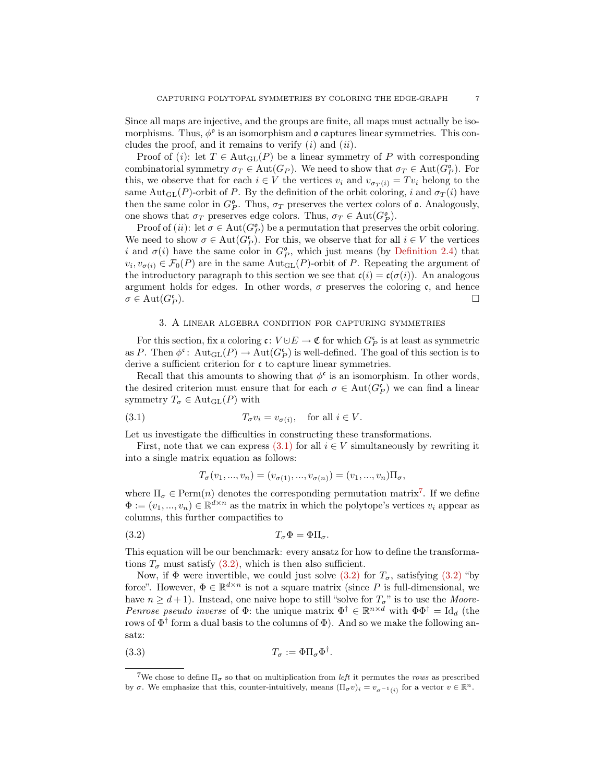Since all maps are injective, and the groups are finite, all maps must actually be isomorphisms. Thus,  $\phi^{\circ}$  is an isomorphism and  $\mathfrak{o}$  captures linear symmetries. This concludes the proof, and it remains to verify  $(i)$  and  $(ii)$ .

Proof of (*i*): let  $T \in \text{Aut}_{\text{GL}}(P)$  be a linear symmetry of P with corresponding combinatorial symmetry  $\sigma_T \in \text{Aut}(G_P)$ . We need to show that  $\sigma_T \in \text{Aut}(G_P^{\circ})$ . For this, we observe that for each  $i \in V$  the vertices  $v_i$  and  $v_{\sigma_T(i)} = Tv_i$  belong to the same Aut<sub>GL</sub>(P)-orbit of P. By the definition of the orbit coloring, i and  $\sigma_T(i)$  have then the same color in  $G_P^{\mathfrak{o}}$ . Thus,  $\sigma_T$  preserves the vertex colors of  $\mathfrak{o}$ . Analogously, one shows that  $\sigma_T$  preserves edge colors. Thus,  $\sigma_T \in \text{Aut}(G_P^{\mathfrak{o}})$ .

Proof of (*ii*): let  $\sigma \in Aut(G_P^{\mathfrak{o}})$  be a permutation that preserves the orbit coloring. We need to show  $\sigma \in \text{Aut}(G_P^{\mathfrak{c}})$ . For this, we observe that for all  $i \in V$  the vertices i and  $\sigma(i)$  have the same color in  $G_P^{\mathfrak{o}}$ , which just means (by [Definition 2.4\)](#page-5-2) that  $v_i, v_{\sigma(i)} \in \mathcal{F}_0(P)$  are in the same  $\text{Aut}_{\text{GL}}(P)$ -orbit of P. Repeating the argument of the introductory paragraph to this section we see that  $\mathfrak{c}(i) = \mathfrak{c}(\sigma(i))$ . An analogous argument holds for edges. In other words,  $\sigma$  preserves the coloring c, and hence  $\sigma \in \mathrm{Aut}(G_P^{\mathfrak{c}})$ ).

### 3. A linear algebra condition for capturing symmetries

<span id="page-6-0"></span>For this section, fix a coloring  $\mathfrak{c} \colon V \cup E \to \mathfrak{C}$  for which  $G_P^{\mathfrak{c}}$  is at least as symmetric as P. Then  $\phi^{\mathfrak{c}}$ :  $Aut_{GL}(P) \to Aut(G_P^{\mathfrak{c}})$  is well-defined. The goal of this section is to derive a sufficient criterion for  $\mathfrak c$  to capture linear symmetries.

Recall that this amounts to showing that  $\phi^{\mathfrak{c}}$  is an isomorphism. In other words, the desired criterion must ensure that for each  $\sigma \in Aut(G_P^{\mathfrak{c}})$  we can find a linear symmetry  $T_{\sigma} \in \text{Aut}_{\text{GL}}(P)$  with

(3.1) 
$$
T_{\sigma}v_i = v_{\sigma(i)}, \text{ for all } i \in V.
$$

Let us investigate the difficulties in constructing these transformations.

First, note that we can express  $(3.1)$  for all  $i \in V$  simultaneously by rewriting it into a single matrix equation as follows:

<span id="page-6-3"></span><span id="page-6-1"></span>
$$
T_{\sigma}(v_1, ..., v_n) = (v_{\sigma(1)}, ..., v_{\sigma(n)}) = (v_1, ..., v_n) \Pi_{\sigma},
$$

where  $\Pi_{\sigma} \in \text{Perm}(n)$  denotes the corresponding permutation matrix<sup>[7](#page-6-2)</sup>. If we define  $\Phi := (v_1, ..., v_n) \in \mathbb{R}^{d \times n}$  as the matrix in which the polytope's vertices  $v_i$  appear as columns, this further compactifies to

$$
(3.2) \t\t T_{\sigma} \Phi = \Phi \Pi_{\sigma}.
$$

This equation will be our benchmark: every ansatz for how to define the transformations  $T_{\sigma}$  must satisfy [\(3.2\),](#page-6-3) which is then also sufficient.

Now, if  $\Phi$  were invertible, we could just solve [\(3.2\)](#page-6-3) for  $T_{\sigma}$ , satisfying (3.2) "by force". However,  $\Phi \in \mathbb{R}^{d \times n}$  is not a square matrix (since P is full-dimensional, we have  $n \geq d+1$ ). Instead, one naive hope to still "solve for  $T_{\sigma}$ " is to use the *Moore*-Penrose pseudo inverse of  $\Phi$ : the unique matrix  $\Phi^{\dagger} \in \mathbb{R}^{n \times d}$  with  $\Phi \Phi^{\dagger} = \text{Id}_{d}$  (the rows of  $\Phi^{\dagger}$  form a dual basis to the columns of  $\Phi$ ). And so we make the following ansatz:

(3.3) 
$$
T_{\sigma} := \Phi \Pi_{\sigma} \Phi^{\dagger}
$$

<span id="page-6-4"></span>.

<span id="page-6-2"></span><sup>&</sup>lt;sup>7</sup>We chose to define  $\Pi_{\sigma}$  so that on multiplication from *left* it permutes the rows as prescribed by  $\sigma$ . We emphasize that this, counter-intuitively, means  $(\Pi_{\sigma} v)_i = v_{\sigma^{-1}(i)}$  for a vector  $v \in \mathbb{R}^n$ .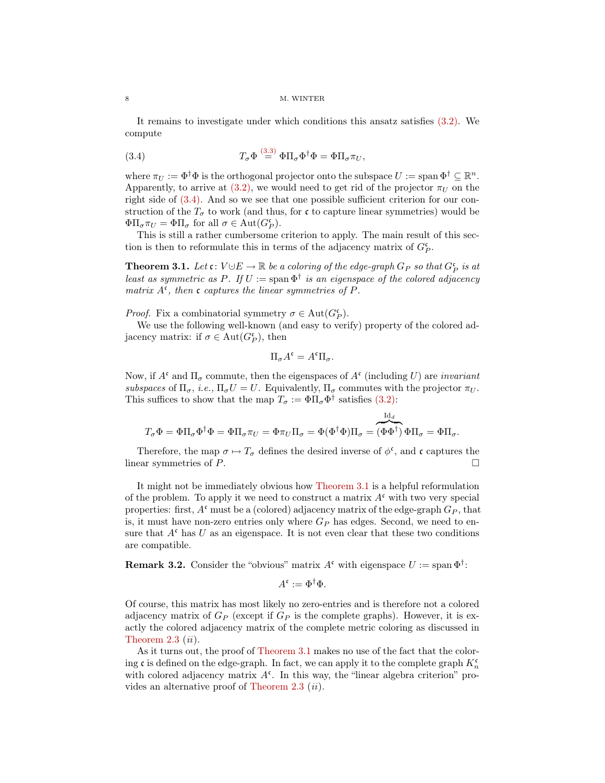It remains to investigate under which conditions this ansatz satisfies [\(3.2\).](#page-6-3) We compute

<span id="page-7-1"></span>(3.4) 
$$
T_{\sigma} \Phi \stackrel{(3.3)}{=} \Phi \Pi_{\sigma} \Phi^{\dagger} \Phi = \Phi \Pi_{\sigma} \pi_U,
$$

where  $\pi_U := \Phi^{\dagger} \Phi$  is the orthogonal projector onto the subspace  $U := \text{span } \Phi^{\dagger} \subseteq \mathbb{R}^n$ . Apparently, to arrive at [\(3.2\),](#page-6-3) we would need to get rid of the projector  $\pi_U$  on the right side of [\(3.4\).](#page-7-1) And so we see that one possible sufficient criterion for our construction of the  $T_{\sigma}$  to work (and thus, for c to capture linear symmetries) would be  $\Phi\Pi_{\sigma}\pi_U = \Phi\Pi_{\sigma}$  for all  $\sigma \in \text{Aut}(G_P^{\mathfrak{c}})$ .

This is still a rather cumbersome criterion to apply. The main result of this section is then to reformulate this in terms of the adjacency matrix of  $G_P^{\mathfrak{c}}$ .

<span id="page-7-2"></span>**Theorem 3.1.** Let  $\mathfrak{c}: V \cup E \to \mathbb{R}$  be a coloring of the edge-graph  $G_P$  so that  $G_P^{\mathfrak{c}}$  is at least as symmetric as P. If  $U := \text{span } \Phi^{\dagger}$  is an eigenspace of the colored adjacency matrix  $A^c$ , then c captures the linear symmetries of P.

*Proof.* Fix a combinatorial symmetry  $\sigma \in \text{Aut}(G_P^{\mathfrak{c}})$ .

We use the following well-known (and easy to verify) property of the colored adjacency matrix: if  $\sigma \in \text{Aut}(G_P^{\mathfrak{c}})$ , then

$$
\Pi_{\sigma} A^{\mathfrak{c}} = A^{\mathfrak{c}} \Pi_{\sigma}.
$$

Now, if  $A^{\mathfrak{c}}$  and  $\Pi_{\sigma}$  commute, then the eigenspaces of  $A^{\mathfrak{c}}$  (including U) are *invariant* subspaces of  $\Pi_{\sigma}$ , i.e.,  $\Pi_{\sigma}U = U$ . Equivalently,  $\Pi_{\sigma}$  commutes with the projector  $\pi_U$ . This suffices to show that the map  $T_{\sigma} := \Phi \Pi_{\sigma} \Phi^{\dagger}$  satisfies [\(3.2\):](#page-6-3)

$$
T_\sigma \Phi = \Phi \Pi_\sigma \Phi^\dagger \Phi = \Phi \Pi_\sigma \pi_U = \Phi \pi_U \Pi_\sigma = \Phi (\Phi^\dagger \Phi) \Pi_\sigma = \overbrace{(\Phi \Phi^\dagger)}^{\mathrm{Id}_d} \Phi \Pi_\sigma = \Phi \Pi_\sigma.
$$

Therefore, the map  $\sigma \mapsto T_{\sigma}$  defines the desired inverse of  $\phi^{\mathfrak{c}}$ , and  $\mathfrak{c}$  captures the linear symmetries of  $P$ .

It might not be immediately obvious how [Theorem 3.1](#page-7-2) is a helpful reformulation of the problem. To apply it we need to construct a matrix  $A^c$  with two very special properties: first,  $A^c$  must be a (colored) adjacency matrix of the edge-graph  $G_P$ , that is, it must have non-zero entries only where  $G_P$  has edges. Second, we need to ensure that  $A^c$  has U as an eigenspace. It is not even clear that these two conditions are compatible.

<span id="page-7-0"></span>**Remark 3.2.** Consider the "obvious" matrix  $A^c$  with eigenspace  $U := \text{span } \Phi^{\dagger}$ :

$$
A^{\mathfrak{c}} := \Phi^{\dagger} \Phi.
$$

Of course, this matrix has most likely no zero-entries and is therefore not a colored adjacency matrix of  $G_P$  (except if  $G_P$  is the complete graphs). However, it is exactly the colored adjacency matrix of the complete metric coloring as discussed in Theorem  $2.3$   $(ii)$ .

As it turns out, the proof of [Theorem 3.1](#page-7-2) makes no use of the fact that the coloring c is defined on the edge-graph. In fact, we can apply it to the complete graph  $K_n^{\mathfrak{c}}$ with colored adjacency matrix  $A<sup>c</sup>$ . In this way, the "linear algebra criterion" pro-vides an alternative proof of [Theorem 2.3](#page-5-3)  $(ii)$ .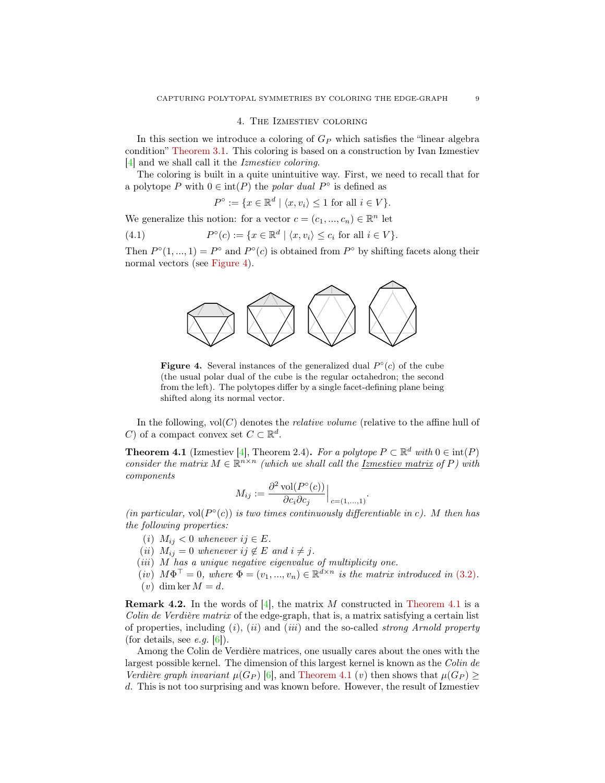# 4. The Izmestiev coloring

<span id="page-8-0"></span>In this section we introduce a coloring of  $G_P$  which satisfies the "linear algebra condition" [Theorem 3.1.](#page-7-2) This coloring is based on a construction by Ivan Izmestiev [\[4\]](#page-14-0) and we shall call it the Izmestiev coloring.

The coloring is built in a quite unintuitive way. First, we need to recall that for a polytope P with  $0 \in \text{int}(P)$  the polar dual  $P^{\circ}$  is defined as

$$
P^{\circ} := \{ x \in \mathbb{R}^d \mid \langle x, v_i \rangle \le 1 \text{ for all } i \in V \}.
$$

We generalize this notion: for a vector  $c = (c_1, ..., c_n) \in \mathbb{R}^n$  let

 $(4.1)$  $\mathcal{C}(c) := \{x \in \mathbb{R}^d \mid \langle x, v_i \rangle \leq c_i \text{ for all } i \in V\}.$ 

<span id="page-8-1"></span>Then  $P^{\circ}(1,...,1) = P^{\circ}$  and  $P^{\circ}(c)$  is obtained from  $P^{\circ}$  by shifting facets along their normal vectors (see [Figure 4\)](#page-8-1).



**Figure 4.** Several instances of the generalized dual  $P^{\circ}(c)$  of the cube (the usual polar dual of the cube is the regular octahedron; the second from the left). The polytopes differ by a single facet-defining plane being shifted along its normal vector.

In the following,  $vol(C)$  denotes the *relative volume* (relative to the affine hull of C) of a compact convex set  $C \subset \mathbb{R}^d$ .

<span id="page-8-2"></span>**Theorem 4.1** (Izmestiev [\[4\]](#page-14-0), Theorem 2.4). For a polytope  $P \subset \mathbb{R}^d$  with  $0 \in \text{int}(P)$ consider the matrix  $M \in \mathbb{R}^{n \times n}$  (which we shall call the <u>Izmestiev matrix</u> of P) with components

$$
M_{ij} := \frac{\partial^2 \operatorname{vol}(P^{\circ}(c))}{\partial c_i \partial c_j} \Big|_{c=(1,...,1)}.
$$

(in particular, vol $(P^{\circ}(c))$  is two times continuously differentiable in c). M then has the following properties:

- (i)  $M_{ij} < 0$  whenever  $ij \in E$ .
- (ii)  $M_{ij} = 0$  whenever ij  $\notin E$  and  $i \neq j$ .
- $(iii)$  M has a unique negative eigenvalue of multiplicity one.
- $(iv)$   $M\Phi^{\top} = 0$ , where  $\Phi = (v_1, ..., v_n) \in \mathbb{R}^{d \times n}$  is the matrix introduced in [\(3.2\)](#page-6-3).  $(v)$  dim ker  $M = d$ .

**Remark 4.2.** In the words of [\[4\]](#page-14-0), the matrix M constructed in [Theorem 4.1](#page-8-2) is a Colin de Verdière matrix of the edge-graph, that is, a matrix satisfying a certain list of properties, including  $(i)$ ,  $(ii)$  and  $(iii)$  and the so-called *strong Arnold property* (for details, see *e.g.*  $|6|$ ).

Among the Colin de Verdière matrices, one usually cares about the ones with the largest possible kernel. The dimension of this largest kernel is known as the Colin de Verdière graph invariant  $\mu(G_P)$  [\[6\]](#page-14-3), and [Theorem 4.1](#page-8-2) (v) then shows that  $\mu(G_P) \geq$ d. This is not too surprising and was known before. However, the result of Izmestiev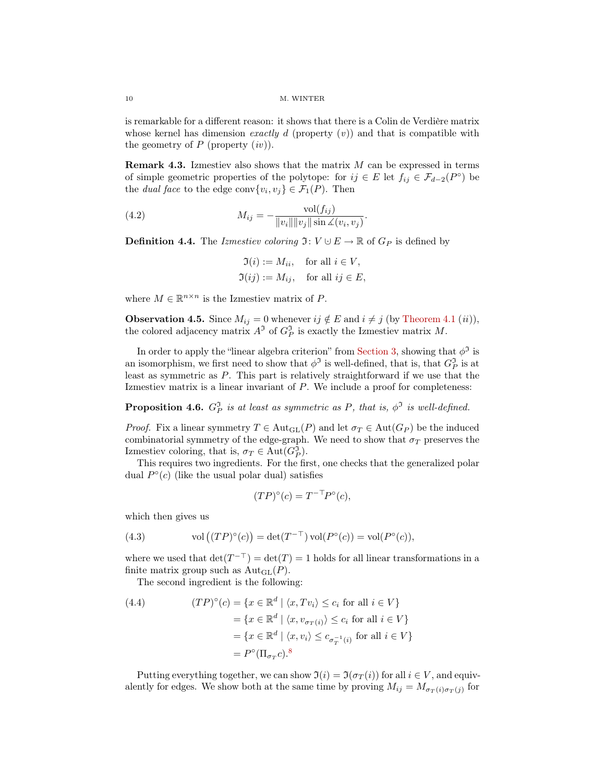is remarkable for a different reason: it shows that there is a Colin de Verdière matrix whose kernel has dimension *exactly d* (property  $(v)$ ) and that is compatible with the geometry of  $P$  (property  $(iv)$ ).

**Remark 4.3.** Izmestiev also shows that the matrix  $M$  can be expressed in terms of simple geometric properties of the polytope: for  $ij \in E$  let  $f_{ij} \in \mathcal{F}_{d-2}(P^{\circ})$  be the *dual face* to the edge conv $\{v_i, v_j\} \in \mathcal{F}_1(P)$ . Then

(4.2) 
$$
M_{ij} = -\frac{\text{vol}(f_{ij})}{\|v_i\| \|v_j\| \sin \angle(v_i, v_j)}.
$$

**Definition 4.4.** The Izmestiev coloring  $\mathfrak{I}: V \cup E \to \mathbb{R}$  of  $G_P$  is defined by

$$
\mathfrak{I}(i) := M_{ii}, \quad \text{for all } i \in V,
$$
  

$$
\mathfrak{I}(ij) := M_{ij}, \quad \text{for all } ij \in E,
$$

where  $M \in \mathbb{R}^{n \times n}$  is the Izmestiev matrix of P.

<span id="page-9-3"></span>**Observation 4.5.** Since  $M_{ij} = 0$  whenever  $ij \notin E$  and  $i \neq j$  (by [Theorem 4.1](#page-8-2) (ii)), the colored adjacency matrix  $A^{\mathfrak{I}}$  of  $G_P^{\mathfrak{I}}$  is exactly the Izmestiev matrix M.

In order to apply the "linear algebra criterion" from [Section 3,](#page-6-0) showing that  $\phi^{\mathfrak{I}}$  is an isomorphism, we first need to show that  $\phi^{\mathfrak{I}}$  is well-defined, that is, that  $G_P^{\mathfrak{I}}$  is at least as symmetric as P. This part is relatively straightforward if we use that the Izmestiev matrix is a linear invariant of P. We include a proof for completeness:

<span id="page-9-2"></span>**Proposition 4.6.**  $G_P^{\mathfrak{I}}$  is at least as symmetric as P, that is,  $\phi^{\mathfrak{I}}$  is well-defined.

*Proof.* Fix a linear symmetry  $T \in \text{Aut}_{GL}(P)$  and let  $\sigma_T \in \text{Aut}(G_P)$  be the induced combinatorial symmetry of the edge-graph. We need to show that  $\sigma_T$  preserves the Izmestiev coloring, that is,  $\sigma_T \in \text{Aut}(G_P^{\mathfrak{I}})$ .

This requires two ingredients. For the first, one checks that the generalized polar dual  $P^{\circ}(c)$  (like the usual polar dual) satisfies

$$
(TP)^{\circ}(c) = T^{-\top}P^{\circ}(c),
$$

which then gives us

<span id="page-9-1"></span>(4.3) vol 
$$
(\mathbb{P}^{\circ}(c)) = \det(T^{-\top}) \operatorname{vol}(P^{\circ}(c)) = \operatorname{vol}(P^{\circ}(c)),
$$

where we used that  $\det(T^{-\top}) = \det(T) = 1$  holds for all linear transformations in a finite matrix group such as  $\text{Aut}_{\text{GL}}(P)$ .

The second ingredient is the following:

<span id="page-9-0"></span>(4.4) 
$$
(TP)^{\circ}(c) = \{x \in \mathbb{R}^{d} \mid \langle x, Tv_i \rangle \le c_i \text{ for all } i \in V\}
$$

$$
= \{x \in \mathbb{R}^{d} \mid \langle x, v_{\sigma_T(i)} \rangle \le c_i \text{ for all } i \in V\}
$$

$$
= \{x \in \mathbb{R}^{d} \mid \langle x, v_i \rangle \le c_{\sigma_T^{-1}(i)} \text{ for all } i \in V\}
$$

$$
= P^{\circ}(\Pi_{\sigma_T} c)^{8}
$$

Putting everything together, we can show  $\mathfrak{I}(i) = \mathfrak{I}(\sigma_T(i))$  for all  $i \in V$ , and equivalently for edges. We show both at the same time by proving  $M_{ij} = M_{\sigma_T(i)\sigma_T(j)}$  for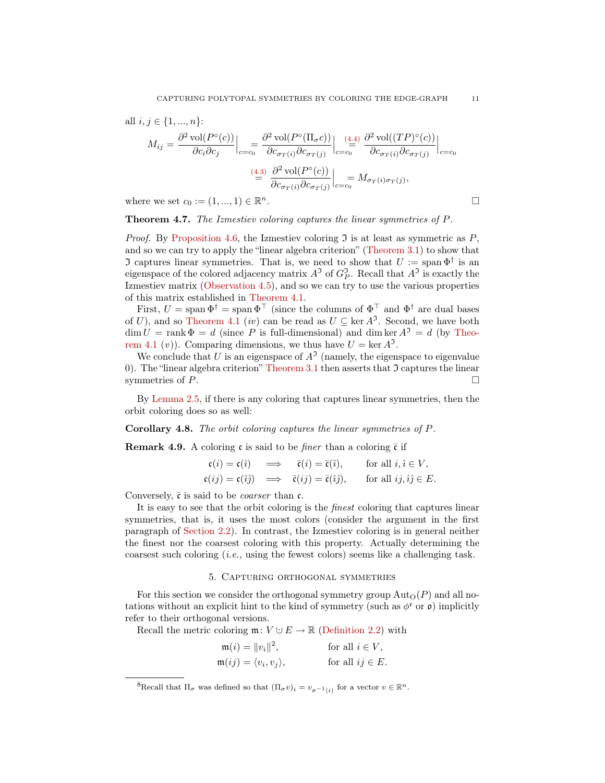all 
$$
i, j \in \{1, ..., n\}
$$
:  
\n
$$
M_{ij} = \frac{\partial^2 \text{vol}(P^{\circ}(c))}{\partial c_i \partial c_j}\Big|_{c=c_0} = \frac{\partial^2 \text{vol}(P^{\circ}(\Pi_{\sigma}c))}{\partial c_{\sigma_T(i)} \partial c_{\sigma_T(j)}}\Big|_{c=c_0} = \frac{(4.4)}{\partial c_{\sigma_T(i)} \partial c_{\sigma_T(j)}}\Big|_{c=c_0}
$$
\n
$$
\stackrel{(4.3)}{=} \frac{\partial^2 \text{vol}(P^{\circ}(c))}{\partial c_{\sigma_T(i)} \partial c_{\sigma_T(j)}}\Big|_{c=c_0} = M_{\sigma_T(i)\sigma_T(j)},
$$
\nwhere we set  $c_0 := (1, ..., 1) \in \mathbb{R}^n$ .

where we set  $c_0 := (1, ..., 1) \in \mathbb{R}^n$ .

<span id="page-10-0"></span>Theorem 4.7. The Izmestiev coloring captures the linear symmetries of P.

*Proof.* By [Proposition 4.6,](#page-9-2) the Izmestiev coloring  $\mathfrak I$  is at least as symmetric as  $P$ , and so we can try to apply the "linear algebra criterion" [\(Theorem 3.1\)](#page-7-2) to show that J captures linear symmetries. That is, we need to show that  $U := \text{span } \Phi^{\dagger}$  is an eigenspace of the colored adjacency matrix  $A^{\mathfrak{I}}$  of  $G_P^{\mathfrak{I}}$ . Recall that  $A^{\mathfrak{I}}$  is exactly the Izmestiev matrix [\(Observation 4.5\)](#page-9-3), and so we can try to use the various properties of this matrix established in [Theorem 4.1.](#page-8-2)

First,  $U = \text{span } \Phi^{\dagger} = \text{span } \Phi^{\dagger}$  (since the columns of  $\Phi^{\dagger}$  and  $\Phi^{\dagger}$  are dual bases of U), and so [Theorem 4.1](#page-8-2) (*iv*) can be read as  $U \subseteq \text{ker } A^{\mathfrak{I}}$ . Second, we have both  $\dim U = \text{rank } \Phi = d$  (since P is full-dimensional) and dim ker  $A^3 = d$  (by [Theo](#page-8-2)[rem 4.1](#page-8-2) (*v*)). Comparing dimensions, we thus have  $U = \ker A^{\mathfrak{I}}$ .

We conclude that U is an eigenspace of  $A<sup>3</sup>$  (namely, the eigenspace to eigenvalue 0). The "linear algebra criterion" [Theorem 3.1](#page-7-2) then asserts that  $\mathfrak I$  captures the linear symmetries of  $P$ .

By [Lemma 2.5,](#page-5-4) if there is any coloring that captures linear symmetries, then the orbit coloring does so as well:

<span id="page-10-1"></span>Corollary 4.8. The orbit coloring captures the linear symmetries of P.

**Remark 4.9.** A coloring c is said to be *finer* than a coloring  $\bar{c}$  if

$$
\begin{aligned}\n\mathfrak{c}(i) &= \mathfrak{c}(\hat{\imath}) & \implies & \bar{\mathfrak{c}}(i) &= \bar{\mathfrak{c}}(\hat{\imath}), & \text{for all } i, \hat{\imath} \in V, \\
\mathfrak{c}(ij) &= \mathfrak{c}(\hat{\imath}\hat{\jmath}) & \implies & \bar{\mathfrak{c}}(ij) &= \bar{\mathfrak{c}}(\hat{\imath}\hat{\jmath}), & \text{for all } ij, \hat{\imath}\hat{\jmath} \in E.\n\end{aligned}
$$

Conversely,  $\bar{\mathfrak{c}}$  is said to be *coarser* than  $\mathfrak{c}$ .

It is easy to see that the orbit coloring is the finest coloring that captures linear symmetries, that is, it uses the most colors (consider the argument in the first paragraph of [Section 2.2\)](#page-5-0). In contrast, the Izmestiev coloring is in general neither the finest nor the coarsest coloring with this property. Actually determining the coarsest such coloring  $(i.e.,$  using the fewest colors) seems like a challenging task.

# 5. Capturing orthogonal symmetries

<span id="page-10-2"></span>For this section we consider the orthogonal symmetry group  $\text{Aut}_{\Omega}(P)$  and all notations without an explicit hint to the kind of symmetry (such as  $\phi^c$  or  $\rho$ ) implicitly refer to their orthogonal versions.

Recall the metric coloring  $\mathfrak{m}: V \cup E \to \mathbb{R}$  [\(Definition 2.2\)](#page-4-6) with

| $\mathfrak{m}(i) =   v_i  ^2,$                 | for all $i \in V$ ,  |
|------------------------------------------------|----------------------|
| $\mathfrak{m}(ij) = \langle v_i, v_j \rangle,$ | for all $ij \in E$ . |

<span id="page-10-3"></span><sup>&</sup>lt;sup>8</sup>Recall that  $\Pi_{\sigma}$  was defined so that  $(\Pi_{\sigma} v)_i = v_{\sigma^{-1}(i)}$  for a vector  $v \in \mathbb{R}^n$ .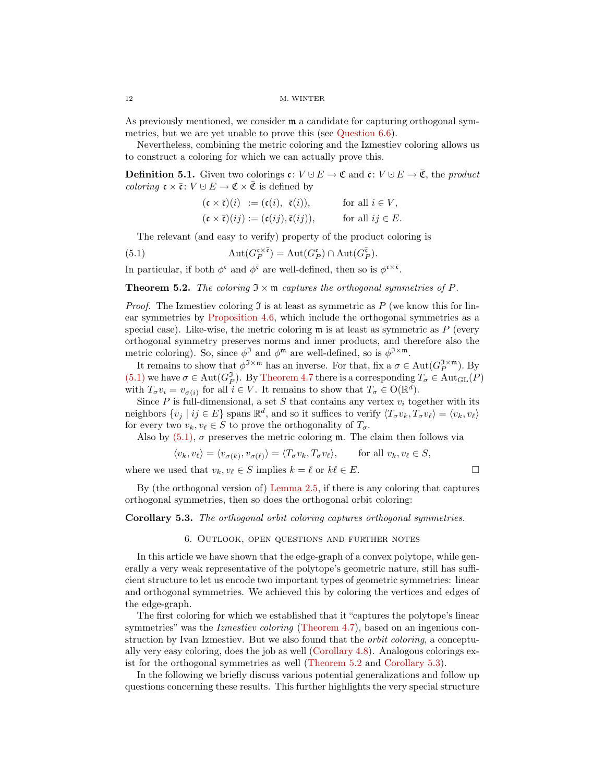#### 12 M. WINTER

As previously mentioned, we consider m a candidate for capturing orthogonal symmetries, but we are yet unable to prove this (see [Question 6.6\)](#page-13-1).

Nevertheless, combining the metric coloring and the Izmestiev coloring allows us to construct a coloring for which we can actually prove this.

**Definition 5.1.** Given two colorings  $\mathfrak{c}: V \cup E \to \mathfrak{C}$  and  $\bar{\mathfrak{c}}: V \cup E \to \bar{\mathfrak{C}}$ , the product *coloring*  $\mathfrak{c} \times \overline{\mathfrak{c}}$ :  $V \cup E \to \mathfrak{C} \times \overline{\mathfrak{C}}$  is defined by

<span id="page-11-1"></span>
$$
(\mathfrak{c} \times \overline{\mathfrak{c}})(i) := (\mathfrak{c}(i), \overline{\mathfrak{c}}(i)), \quad \text{for all } i \in V,
$$
  

$$
(\mathfrak{c} \times \overline{\mathfrak{c}})(ij) := (\mathfrak{c}(ij), \overline{\mathfrak{c}}(ij)), \quad \text{for all } ij \in E.
$$

The relevant (and easy to verify) property of the product coloring is

(5.1) 
$$
\operatorname{Aut}(G_P^{\mathfrak{c}\times\overline{\mathfrak{c}}}) = \operatorname{Aut}(G_P^{\mathfrak{c}}) \cap \operatorname{Aut}(G_P^{\overline{\mathfrak{c}}}).
$$

In particular, if both  $\phi^{\mathfrak{c}}$  and  $\phi^{\bar{\mathfrak{c}}}$  are well-defined, then so is  $\phi^{\mathfrak{c}\times\bar{\mathfrak{c}}}$ .

<span id="page-11-0"></span>**Theorem 5.2.** The coloring  $\mathfrak{I} \times \mathfrak{m}$  captures the orthogonal symmetries of P.

*Proof.* The Izmestiev coloring  $\Im$  is at least as symmetric as P (we know this for linear symmetries by [Proposition 4.6,](#page-9-2) which include the orthogonal symmetries as a special case). Like-wise, the metric coloring  $\mathfrak m$  is at least as symmetric as  $P$  (every orthogonal symmetry preserves norms and inner products, and therefore also the metric coloring). So, since  $\phi^{\mathfrak{I}}$  and  $\phi^{\mathfrak{m}}$  are well-defined, so is  $\phi^{\mathfrak{I}\times\mathfrak{m}}$ .

It remains to show that  $\phi^{J \times m}$  has an inverse. For that, fix a  $\sigma \in Aut(G_P^{J \times m})$ . By [\(5.1\)](#page-11-1) we have  $\sigma \in \text{Aut}(G_P^{\mathfrak{I}})$ . By [Theorem 4.7](#page-10-0) there is a corresponding  $T_{\sigma} \in \text{Aut}_{\text{GL}}(P)$ with  $T_{\sigma} v_i = v_{\sigma(i)}$  for all  $i \in V$ . It remains to show that  $T_{\sigma} \in O(\mathbb{R}^d)$ .

Since  $P$  is full-dimensional, a set  $S$  that contains any vertex  $v_i$  together with its neighbors  $\{v_j \mid ij \in E\}$  spans  $\mathbb{R}^d$ , and so it suffices to verify  $\langle T_\sigma v_k, T_\sigma v_\ell \rangle = \langle v_k, v_\ell \rangle$ for every two  $v_k, v_\ell \in S$  to prove the orthogonality of  $T_\sigma$ .

Also by  $(5.1)$ ,  $\sigma$  preserves the metric coloring m. The claim then follows via

$$
\langle v_k, v_\ell \rangle = \langle v_{\sigma(k)}, v_{\sigma(\ell)} \rangle = \langle T_\sigma v_k, T_\sigma v_\ell \rangle, \quad \text{for all } v_k, v_\ell \in S,
$$

where we used that  $v_k, v_\ell \in S$  implies  $k = \ell$  or  $k\ell \in E$ .

By (the orthogonal version of) [Lemma 2.5,](#page-5-4) if there is any coloring that captures orthogonal symmetries, then so does the orthogonal orbit coloring:

### <span id="page-11-2"></span>Corollary 5.3. The orthogonal orbit coloring captures orthogonal symmetries.

### 6. Outlook, open questions and further notes

In this article we have shown that the edge-graph of a convex polytope, while generally a very weak representative of the polytope's geometric nature, still has sufficient structure to let us encode two important types of geometric symmetries: linear and orthogonal symmetries. We achieved this by coloring the vertices and edges of the edge-graph.

The first coloring for which we established that it "captures the polytope's linear symmetries" was the *Izmestiev coloring* [\(Theorem 4.7\)](#page-10-0), based on an ingenious construction by Ivan Izmestiev. But we also found that the orbit coloring, a conceptually very easy coloring, does the job as well [\(Corollary 4.8\)](#page-10-1). Analogous colorings exist for the orthogonal symmetries as well [\(Theorem 5.2](#page-11-0) and [Corollary 5.3\)](#page-11-2).

In the following we briefly discuss various potential generalizations and follow up questions concerning these results. This further highlights the very special structure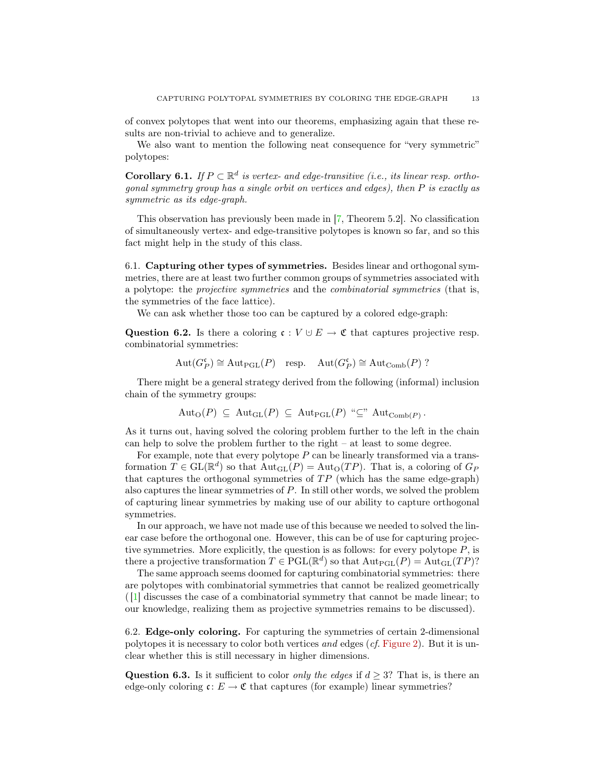of convex polytopes that went into our theorems, emphasizing again that these results are non-trivial to achieve and to generalize.

We also want to mention the following neat consequence for "very symmetric" polytopes:

**Corollary 6.1.** If  $P \subset \mathbb{R}^d$  is vertex- and edge-transitive (i.e., its linear resp. orthogonal symmetry group has a single orbit on vertices and edges), then P is exactly as symmetric as its edge-graph.

This observation has previously been made in [\[7,](#page-14-4) Theorem 5.2]. No classification of simultaneously vertex- and edge-transitive polytopes is known so far, and so this fact might help in the study of this class.

6.1. Capturing other types of symmetries. Besides linear and orthogonal symmetries, there are at least two further common groups of symmetries associated with a polytope: the projective symmetries and the combinatorial symmetries (that is, the symmetries of the face lattice).

We can ask whether those too can be captured by a colored edge-graph:

Question 6.2. Is there a coloring  $\mathfrak{c}: V \cup E \to \mathfrak{C}$  that captures projective resp. combinatorial symmetries:

$$
Aut(G_P^{\mathfrak{c}}) \cong Aut_{\mathrm{PGL}}(P) \quad \text{resp.} \quad \mathrm{Aut}(G_P^{\mathfrak{c}}) \cong \mathrm{Aut}_{\mathrm{Comb}}(P) ?
$$

There might be a general strategy derived from the following (informal) inclusion chain of the symmetry groups:

$$
Aut_{O}(P) \subseteq Aut_{GL}(P) \subseteq Aut_{PGL}(P) \text{``$\subseteq$''} Aut_{Comb(P)}.
$$

As it turns out, having solved the coloring problem further to the left in the chain can help to solve the problem further to the right  $-$  at least to some degree.

For example, note that every polytope  $P$  can be linearly transformed via a transformation  $T \in GL(\mathbb{R}^d)$  so that  $Aut_{GL}(P) = Aut_{O}(TP)$ . That is, a coloring of  $G_P$ that captures the orthogonal symmetries of  $TP$  (which has the same edge-graph) also captures the linear symmetries of P. In still other words, we solved the problem of capturing linear symmetries by making use of our ability to capture orthogonal symmetries.

In our approach, we have not made use of this because we needed to solved the linear case before the orthogonal one. However, this can be of use for capturing projective symmetries. More explicitly, the question is as follows: for every polytope  $P$ , is there a projective transformation  $T \in \mathrm{PGL}(\mathbb{R}^d)$  so that  $\mathrm{Aut}_{\mathrm{PGL}}(P) = \mathrm{Aut}_{\mathrm{GL}}(TP)$ ?

The same approach seems doomed for capturing combinatorial symmetries: there are polytopes with combinatorial symmetries that cannot be realized geometrically ( [\[1\]](#page-14-5) discusses the case of a combinatorial symmetry that cannot be made linear; to our knowledge, realizing them as projective symmetries remains to be discussed).

6.2. Edge-only coloring. For capturing the symmetries of certain 2-dimensional polytopes it is necessary to color both vertices and edges  $(cf.$  [Figure 2\)](#page-1-1). But it is unclear whether this is still necessary in higher dimensions.

Question 6.3. Is it sufficient to color *only the edges* if  $d \geq 3$ ? That is, is there an edge-only coloring  $c: E \to \mathfrak{C}$  that captures (for example) linear symmetries?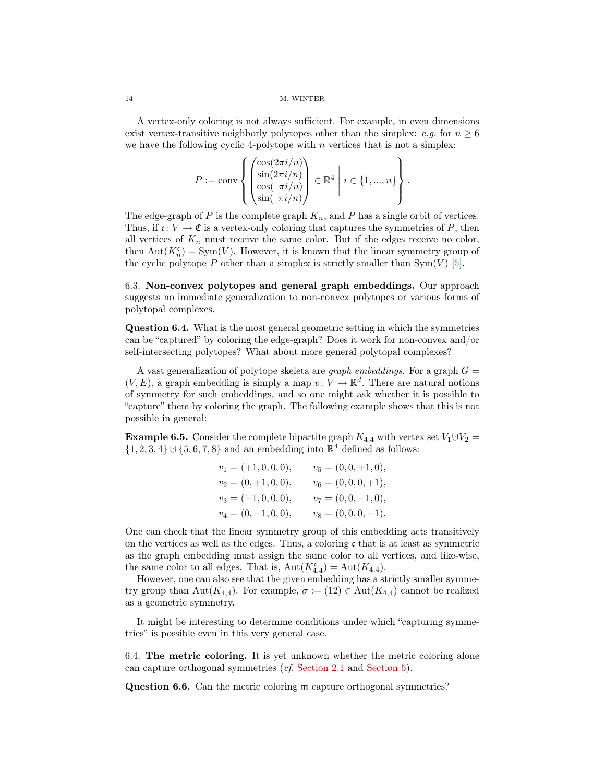### 14 M. WINTER

A vertex-only coloring is not always sufficient. For example, in even dimensions exist vertex-transitive neighborly polytopes other than the simplex:  $e.g.$  for  $n \geq 6$ we have the following cyclic 4-polytope with  $n$  vertices that is not a simplex:

$$
P := \text{conv}\left\{ \begin{pmatrix} \cos(2\pi i/n) \\ \sin(2\pi i/n) \\ \cos(\pi i/n) \\ \sin(\pi i/n) \end{pmatrix} \in \mathbb{R}^4 \middle| i \in \{1, ..., n\} \right\}.
$$

The edge-graph of P is the complete graph  $K_n$ , and P has a single orbit of vertices. Thus, if  $c: V \to \mathfrak{C}$  is a vertex-only coloring that captures the symmetries of P, then all vertices of  $K_n$  must receive the same color. But if the edges receive no color, then  $\text{Aut}(K_n^{\mathfrak{c}}) = \text{Sym}(V)$ . However, it is known that the linear symmetry group of the cyclic polytope P other than a simplex is strictly smaller than  $Sym(V)$  [\[5\]](#page-14-6).

6.3. Non-convex polytopes and general graph embeddings. Our approach suggests no immediate generalization to non-convex polytopes or various forms of polytopal complexes.

Question 6.4. What is the most general geometric setting in which the symmetries can be "captured" by coloring the edge-graph? Does it work for non-convex and/or self-intersecting polytopes? What about more general polytopal complexes?

A vast generalization of polytope skeleta are *graph embeddings*. For a graph  $G =$  $(V, E)$ , a graph embedding is simply a map  $v: V \to \mathbb{R}^d$ . There are natural notions of symmetry for such embeddings, and so one might ask whether it is possible to "capture" them by coloring the graph. The following example shows that this is not possible in general:

<span id="page-13-0"></span>**Example 6.5.** Consider the complete bipartite graph  $K_{4,4}$  with vertex set  $V_1 \cup V_2 =$  $\{1, 2, 3, 4\} \cup \{5, 6, 7, 8\}$  and an embedding into  $\mathbb{R}^4$  defined as follows:

| $v_1 = (+1, 0, 0, 0),$ | $v_5 = (0, 0, +1, 0),$ |
|------------------------|------------------------|
| $v_2 = (0, +1, 0, 0),$ | $v_6 = (0, 0, 0, +1),$ |
| $v_3 = (-1, 0, 0, 0),$ | $v_7=(0,0,-1,0),\,$    |
| $v_4 = (0, -1, 0, 0),$ | $v_8 = (0, 0, 0, -1).$ |

One can check that the linear symmetry group of this embedding acts transitively on the vertices as well as the edges. Thus, a coloring  $\mathfrak c$  that is at least as symmetric as the graph embedding must assign the same color to all vertices, and like-wise, the same color to all edges. That is,  $Aut(K^{\mathfrak{c}}_{4,4}) = Aut(K_{4,4}).$ 

However, one can also see that the given embedding has a strictly smaller symmetry group than Aut $(K_{4,4})$ . For example,  $\sigma := (12) \in \text{Aut}(K_{4,4})$  cannot be realized as a geometric symmetry.

It might be interesting to determine conditions under which "capturing symmetries" is possible even in this very general case.

6.4. The metric coloring. It is yet unknown whether the metric coloring alone can capture orthogonal symmetries (cf. [Section 2.1](#page-4-0) and [Section 5\)](#page-10-2).

<span id="page-13-1"></span>Question 6.6. Can the metric coloring m capture orthogonal symmetries?